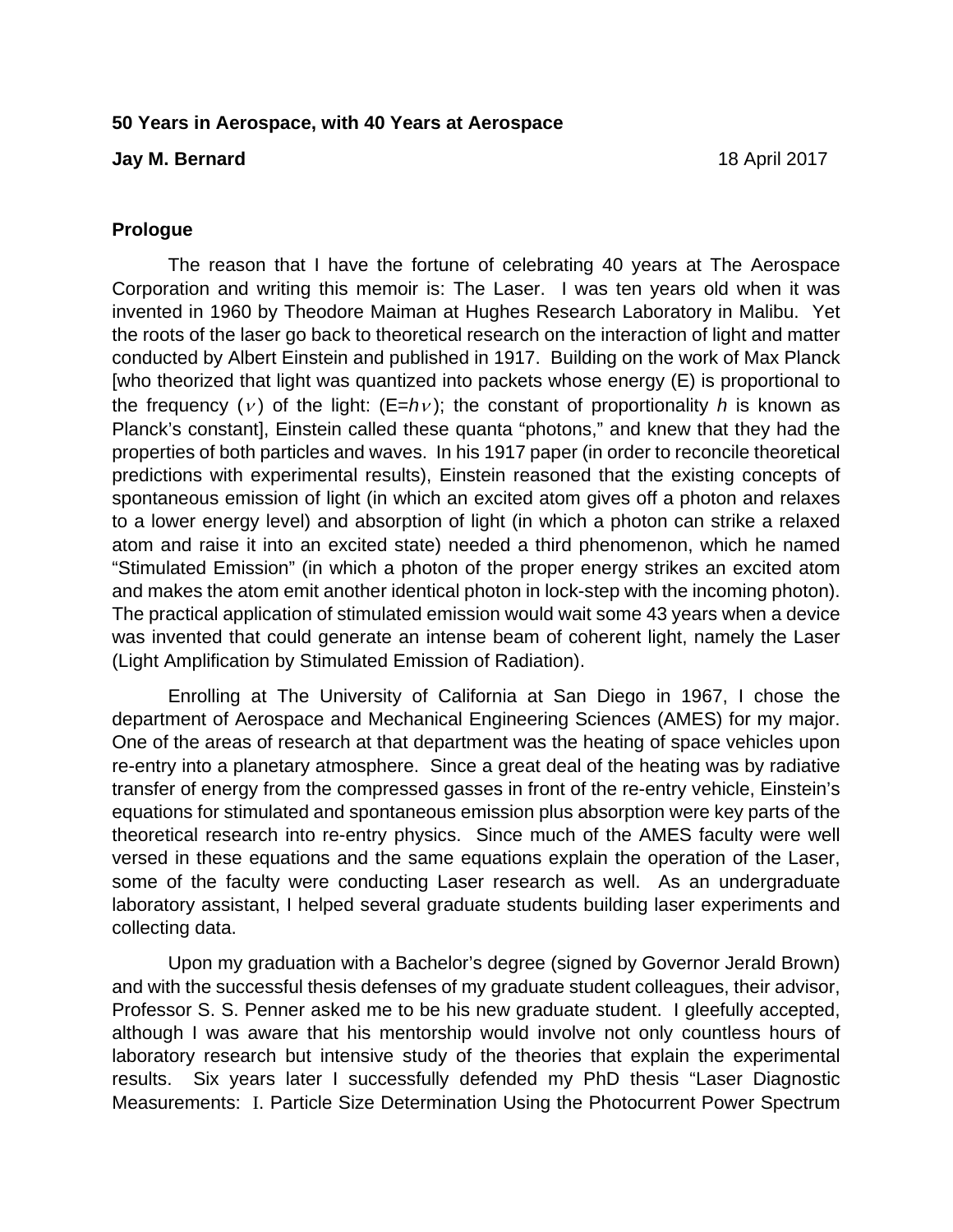#### **50 Years in Aerospace, with 40 Years at Aerospace**

#### **Jay M. Bernard** 18 April 2017

## **Prologue**

The reason that I have the fortune of celebrating 40 years at The Aerospace Corporation and writing this memoir is: The Laser. I was ten years old when it was invented in 1960 by Theodore Maiman at Hughes Research Laboratory in Malibu. Yet the roots of the laser go back to theoretical research on the interaction of light and matter conducted by Albert Einstein and published in 1917. Building on the work of Max Planck [who theorized that light was quantized into packets whose energy (E) is proportional to the frequency (*v*) of the light:  $(E=hv)$ ; the constant of proportionality *h* is known as Planck's constant], Einstein called these quanta "photons," and knew that they had the properties of both particles and waves. In his 1917 paper (in order to reconcile theoretical predictions with experimental results), Einstein reasoned that the existing concepts of spontaneous emission of light (in which an excited atom gives off a photon and relaxes to a lower energy level) and absorption of light (in which a photon can strike a relaxed atom and raise it into an excited state) needed a third phenomenon, which he named "Stimulated Emission" (in which a photon of the proper energy strikes an excited atom and makes the atom emit another identical photon in lock-step with the incoming photon). The practical application of stimulated emission would wait some 43 years when a device was invented that could generate an intense beam of coherent light, namely the Laser (Light Amplification by Stimulated Emission of Radiation).

Enrolling at The University of California at San Diego in 1967, I chose the department of Aerospace and Mechanical Engineering Sciences (AMES) for my major. One of the areas of research at that department was the heating of space vehicles upon re-entry into a planetary atmosphere. Since a great deal of the heating was by radiative transfer of energy from the compressed gasses in front of the re-entry vehicle, Einstein's equations for stimulated and spontaneous emission plus absorption were key parts of the theoretical research into re-entry physics. Since much of the AMES faculty were well versed in these equations and the same equations explain the operation of the Laser, some of the faculty were conducting Laser research as well. As an undergraduate laboratory assistant, I helped several graduate students building laser experiments and collecting data.

Upon my graduation with a Bachelor's degree (signed by Governor Jerald Brown) and with the successful thesis defenses of my graduate student colleagues, their advisor, Professor S. S. Penner asked me to be his new graduate student. I gleefully accepted, although I was aware that his mentorship would involve not only countless hours of laboratory research but intensive study of the theories that explain the experimental results. Six years later I successfully defended my PhD thesis "Laser Diagnostic Measurements: I. Particle Size Determination Using the Photocurrent Power Spectrum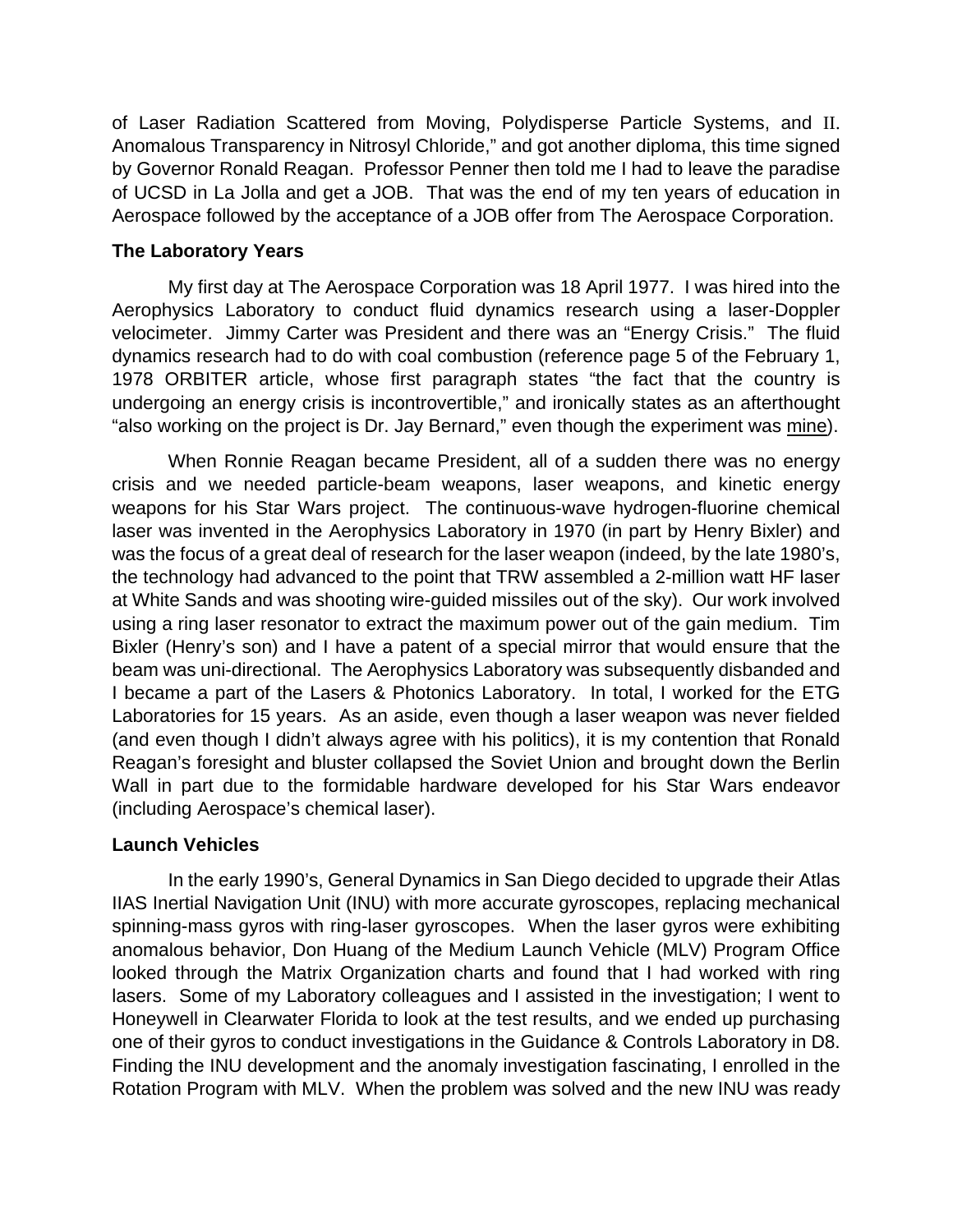of Laser Radiation Scattered from Moving, Polydisperse Particle Systems, and II. Anomalous Transparency in Nitrosyl Chloride," and got another diploma, this time signed by Governor Ronald Reagan. Professor Penner then told me I had to leave the paradise of UCSD in La Jolla and get a JOB. That was the end of my ten years of education in Aerospace followed by the acceptance of a JOB offer from The Aerospace Corporation.

## **The Laboratory Years**

My first day at The Aerospace Corporation was 18 April 1977. I was hired into the Aerophysics Laboratory to conduct fluid dynamics research using a laser-Doppler velocimeter. Jimmy Carter was President and there was an "Energy Crisis." The fluid dynamics research had to do with coal combustion (reference page 5 of the February 1, 1978 ORBITER article, whose first paragraph states "the fact that the country is undergoing an energy crisis is incontrovertible," and ironically states as an afterthought "also working on the project is Dr. Jay Bernard," even though the experiment was mine).

When Ronnie Reagan became President, all of a sudden there was no energy crisis and we needed particle-beam weapons, laser weapons, and kinetic energy weapons for his Star Wars project. The continuous-wave hydrogen-fluorine chemical laser was invented in the Aerophysics Laboratory in 1970 (in part by Henry Bixler) and was the focus of a great deal of research for the laser weapon (indeed, by the late 1980's, the technology had advanced to the point that TRW assembled a 2-million watt HF laser at White Sands and was shooting wire-guided missiles out of the sky). Our work involved using a ring laser resonator to extract the maximum power out of the gain medium. Tim Bixler (Henry's son) and I have a patent of a special mirror that would ensure that the beam was uni-directional. The Aerophysics Laboratory was subsequently disbanded and I became a part of the Lasers & Photonics Laboratory. In total, I worked for the ETG Laboratories for 15 years. As an aside, even though a laser weapon was never fielded (and even though I didn't always agree with his politics), it is my contention that Ronald Reagan's foresight and bluster collapsed the Soviet Union and brought down the Berlin Wall in part due to the formidable hardware developed for his Star Wars endeavor (including Aerospace's chemical laser).

# **Launch Vehicles**

In the early 1990's, General Dynamics in San Diego decided to upgrade their Atlas IIAS Inertial Navigation Unit (INU) with more accurate gyroscopes, replacing mechanical spinning-mass gyros with ring-laser gyroscopes. When the laser gyros were exhibiting anomalous behavior, Don Huang of the Medium Launch Vehicle (MLV) Program Office looked through the Matrix Organization charts and found that I had worked with ring lasers. Some of my Laboratory colleagues and I assisted in the investigation; I went to Honeywell in Clearwater Florida to look at the test results, and we ended up purchasing one of their gyros to conduct investigations in the Guidance & Controls Laboratory in D8. Finding the INU development and the anomaly investigation fascinating, I enrolled in the Rotation Program with MLV. When the problem was solved and the new INU was ready